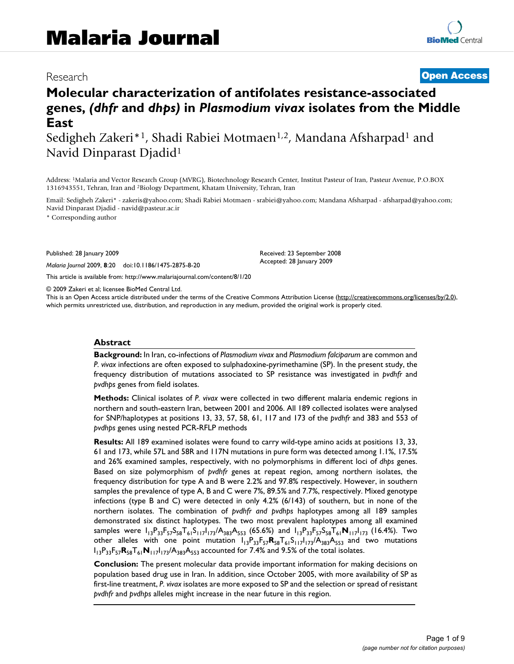## Research **[Open Access](http://www.biomedcentral.com/info/about/charter/)**

# **Molecular characterization of antifolates resistance-associated genes,** *(dhfr* **and** *dhps)* **in** *Plasmodium vivax* **isolates from the Middle East**

Sedigheh Zakeri\*<sup>1</sup>, Shadi Rabiei Motmaen<sup>1,2</sup>, Mandana Afsharpad<sup>1</sup> and Navid Dinparast Djadid1

Address: 1Malaria and Vector Research Group (MVRG), Biotechnology Research Center, Institut Pasteur of Iran, Pasteur Avenue, P.O.BOX 1316943551, Tehran, Iran and 2Biology Department, Khatam University, Tehran, Iran

Email: Sedigheh Zakeri\* - zakeris@yahoo.com; Shadi Rabiei Motmaen - srabiei@yahoo.com; Mandana Afsharpad - afsharpad@yahoo.com; Navid Dinparast Djadid - navid@pasteur.ac.ir

\* Corresponding author

Published: 28 January 2009

*Malaria Journal* 2009, **8**:20 doi:10.1186/1475-2875-8-20

[This article is available from: http://www.malariajournal.com/content/8/1/20](http://www.malariajournal.com/content/8/1/20)

© 2009 Zakeri et al; licensee BioMed Central Ltd.

This is an Open Access article distributed under the terms of the Creative Commons Attribution License [\(http://creativecommons.org/licenses/by/2.0\)](http://creativecommons.org/licenses/by/2.0), which permits unrestricted use, distribution, and reproduction in any medium, provided the original work is properly cited.

Received: 23 September 2008 Accepted: 28 January 2009

#### **Abstract**

**Background:** In Iran, co-infections of *Plasmodium vivax* and *Plasmodium falciparum* are common and *P. vivax* infections are often exposed to sulphadoxine-pyrimethamine (SP). In the present study, the frequency distribution of mutations associated to SP resistance was investigated in *pvdhfr* and *pvdhps* genes from field isolates.

**Methods:** Clinical isolates of *P. vivax* were collected in two different malaria endemic regions in northern and south-eastern Iran, between 2001 and 2006. All 189 collected isolates were analysed for SNP/haplotypes at positions 13, 33, 57, 58, 61, 117 and 173 of the *pvdhfr* and 383 and 553 of *pvdhps* genes using nested PCR-RFLP methods

**Results:** All 189 examined isolates were found to carry wild-type amino acids at positions 13, 33, 61 and 173, while 57L and 58R and 117N mutations in pure form was detected among 1.1%, 17.5% and 26% examined samples, respectively, with no polymorphisms in different loci of *dhps* genes. Based on size polymorphism of *pvdhfr* genes at repeat region, among northern isolates, the frequency distribution for type A and B were 2.2% and 97.8% respectively. However, in southern samples the prevalence of type A, B and C were 7%, 89.5% and 7.7%, respectively. Mixed genotype infections (type B and C) were detected in only 4.2% (6/143) of southern, but in none of the northern isolates. The combination of *pvdhfr and pvdhps* haplotypes among all 189 samples demonstrated six distinct haplotypes. The two most prevalent haplotypes among all examined samples were 1<sub>13</sub>P<sub>33</sub>F<sub>57</sub>S<sub>58</sub>T<sub>61</sub>S<sub>117</sub>1<sub>173</sub>/A<sub>383</sub>A<sub>553</sub> (65.6%) and 1<sub>13</sub>P<sub>33</sub>F<sub>57</sub>S<sub>58</sub>T<sub>61</sub>N<sub>117</sub>1<sub>173</sub> (16.4%). Two other alleles with one point mutation 1<sub>13</sub>P<sub>33</sub>F<sub>57</sub>**R**<sub>58</sub>T<sub>61</sub>S<sub>117</sub>1<sub>173</sub>/A<sub>383</sub>A<sub>553</sub> and two mutations I 13P33F57**R**58T61**N**117I 173/A383A553 accounted for 7.4% and 9.5% of the total isolates.

**Conclusion:** The present molecular data provide important information for making decisions on population based drug use in Iran. In addition, since October 2005, with more availability of SP as first-line treatment, *P. vivax* isolates are more exposed to SP and the selection or spread of resistant *pvdhfr* and *pvdhps* alleles might increase in the near future in this region.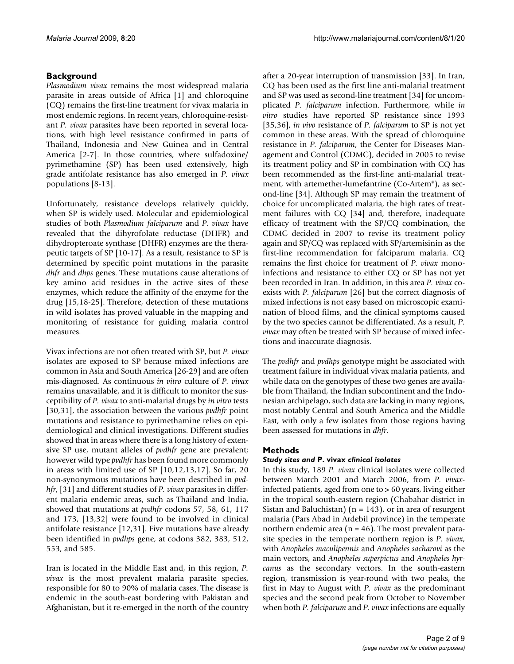### **Background**

*Plasmodium vivax* remains the most widespread malaria parasite in areas outside of Africa [[1](#page-6-0)] and chloroquine (CQ) remains the first-line treatment for vivax malaria in most endemic regions. In recent years, chloroquine-resistant *P. vivax* parasites have been reported in several locations, with high level resistance confirmed in parts of Thailand, Indonesia and New Guinea and in Central America [2-7]. In those countries, where sulfadoxine/ pyrimethamine (SP) has been used extensively, high grade antifolate resistance has also emerged in *P. vivax* populations [8-13].

Unfortunately, resistance develops relatively quickly, when SP is widely used. Molecular and epidemiological studies of both *Plasmodium falciparum* and *P. vivax* have revealed that the dihyrofolate reductase (DHFR) and dihydropteroate synthase (DHFR) enzymes are the therapeutic targets of SP [10-17]. As a result, resistance to SP is determined by specific point mutations in the parasite *dhfr* and *dhps* genes. These mutations cause alterations of key amino acid residues in the active sites of these enzymes, which reduce the affinity of the enzyme for the drug [15,18-25]. Therefore, detection of these mutations in wild isolates has proved valuable in the mapping and monitoring of resistance for guiding malaria control measures.

Vivax infections are not often treated with SP, but *P. vivax* isolates are exposed to SP because mixed infections are common in Asia and South America [26-29] and are often mis-diagnosed. As continuous *in vitro* culture of *P. vivax* remains unavailable, and it is difficult to monitor the susceptibility of *P. vivax* to anti-malarial drugs by *in vitro* tests [30,31], the association between the various *pvdhfr* point mutations and resistance to pyrimethamine relies on epidemiological and clinical investigations. Different studies showed that in areas where there is a long history of extensive SP use, mutant alleles of *pvdhfr* gene are prevalent; however wild type *pvdhfr* has been found more commonly in areas with limited use of SP [10,12,13,17]. So far, 20 non-synonymous mutations have been described in *pvdhfr*, [31] and different studies of *P. vivax* parasites in different malaria endemic areas, such as Thailand and India, showed that mutations at *pvdhfr* codons 57, 58, 61, 117 and 173, [13,32] were found to be involved in clinical antifolate resistance [12,31]. Five mutations have already been identified in *pvdhps* gene, at codons 382, 383, 512, 553, and 585.

Iran is located in the Middle East and, in this region, *P. vivax* is the most prevalent malaria parasite species, responsible for 80 to 90% of malaria cases. The disease is endemic in the south-east bordering with Pakistan and Afghanistan, but it re-emerged in the north of the country after a 20-year interruption of transmission [33]. In Iran, CQ has been used as the first line anti-malarial treatment and SP was used as second-line treatment [34] for uncomplicated *P. falciparum* infection. Furthermore, while *in vitro* studies have reported SP resistance since 1993 [35,36], *in vivo* resistance of *P. falciparum* to SP is not yet common in these areas. With the spread of chloroquine resistance in *P. falciparum*, the Center for Diseases Management and Control (CDMC), decided in 2005 to revise its treatment policy and SP in combination with CQ has been recommended as the first-line anti-malarial treatment, with artemether-lumefantrine (Co-Artem®), as second-line [34]. Although SP may remain the treatment of choice for uncomplicated malaria, the high rates of treatment failures with CQ [34] and, therefore, inadequate efficacy of treatment with the SP/CQ combination, the CDMC decided in 2007 to revise its treatment policy again and SP/CQ was replaced with SP/artemisinin as the first-line recommendation for falciparum malaria. CQ remains the first choice for treatment of *P. vivax* monoinfections and resistance to either CQ or SP has not yet been recorded in Iran. In addition, in this area *P. vivax* coexists with *P. falciparum* [26] but the correct diagnosis of mixed infections is not easy based on microscopic examination of blood films, and the clinical symptoms caused by the two species cannot be differentiated. As a result, *P. vivax* may often be treated with SP because of mixed infections and inaccurate diagnosis.

The *pvdhfr* and *pvdhps* genotype might be associated with treatment failure in individual vivax malaria patients, and while data on the genotypes of these two genes are available from Thailand, the Indian subcontinent and the Indonesian archipelago, such data are lacking in many regions, most notably Central and South America and the Middle East, with only a few isolates from those regions having been assessed for mutations in *dhfr*.

#### **Methods**

#### *Study sites and* **P. vivax** *clinical isolates*

In this study, 189 *P. vivax* clinical isolates were collected between March 2001 and March 2006, from *P. vivax*infected patients, aged from one to > 60 years, living either in the tropical south-eastern region (Chabahar district in Sistan and Baluchistan) ( $n = 143$ ), or in area of resurgent malaria (Pars Abad in Ardebil province) in the temperate northern endemic area ( $n = 46$ ). The most prevalent parasite species in the temperate northern region is *P. vivax*, with *Anopheles maculipennis* and *Anopheles sacharovi* as the main vectors, and *Anopheles superpictus* and *Anopheles hyrcanus* as the secondary vectors. In the south-eastern region, transmission is year-round with two peaks, the first in May to August with *P. vivax* as the predominant species and the second peak from October to November when both *P. falciparum* and *P. vivax* infections are equally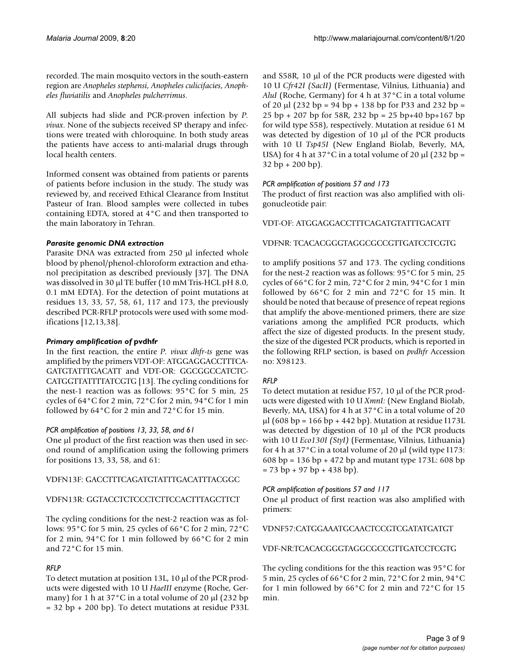recorded. The main mosquito vectors in the south-eastern region are *Anopheles stephensi*, *Anopheles culicifacies*, *Anopheles fluviatilis* and *Anopheles pulcherrimus*.

All subjects had slide and PCR-proven infection by *P. vivax*. None of the subjects received SP therapy and infections were treated with chloroquine. In both study areas the patients have access to anti-malarial drugs through local health centers.

Informed consent was obtained from patients or parents of patients before inclusion in the study. The study was reviewed by, and received Ethical Clearance from Institut Pasteur of Iran. Blood samples were collected in tubes containing EDTA, stored at 4°C and then transported to the main laboratory in Tehran.

#### *Parasite genomic DNA extraction*

Parasite DNA was extracted from 250 μl infected whole blood by phenol/phenol-chloroform extraction and ethanol precipitation as described previously [37]. The DNA was dissolved in 30 μl TE buffer (10 mM Tris-HCL pH 8.0, 0.1 mM EDTA). For the detection of point mutations at residues 13, 33, 57, 58, 61, 117 and 173, the previously described PCR-RFLP protocols were used with some modifications [12,13,38].

#### *Primary amplification of* **pvdhfr**

In the first reaction, the entire *P. vivax dhfr-ts* gene was amplified by the primers VDT-OF: ATGGAGGACCTTTCA-GATGTATTTGACATT and VDT-OR: GGCGGCCATCTC-CATGGTTATTTTATCGTG [13]. The cycling conditions for the nest-1 reaction was as follows: 95°C for 5 min, 25 cycles of 64°C for 2 min, 72°C for 2 min, 94°C for 1 min followed by 64°C for 2 min and 72°C for 15 min.

#### *PCR amplification of positions 13, 33, 58, and 61*

One μl product of the first reaction was then used in second round of amplification using the following primers for positions 13, 33, 58, and 61:

#### VDFN13F: GACCTTTCAGATGTATTTGACATTTACGGC

## VDFN13R: GGTACCTCTCCCTCTTCCACTTTAGCTTCT

The cycling conditions for the nest-2 reaction was as follows: 95°C for 5 min, 25 cycles of 66°C for 2 min, 72°C for 2 min, 94°C for 1 min followed by 66°C for 2 min and 72°C for 15 min.

#### *RFLP*

To detect mutation at position 13L, 10 μl of the PCR products were digested with 10 U *HaeIII* enzyme (Roche, Germany) for 1 h at 37°C in a total volume of 20 μl (232 bp = 32 bp + 200 bp). To detect mutations at residue P33L and S58R, 10 μl of the PCR products were digested with 10 U *Cfr42I (SacII)* (Fermentase, Vilnius, Lithuania) and *AluI* (Roche, Germany) for 4 h at 37°C in a total volume of 20  $\mu$ l (232 bp = 94 bp + 138 bp for P33 and 232 bp = 25 bp + 207 bp for 58R, 232 bp = 25 bp+40 bp+167 bp for wild type S58), respectively. Mutation at residue 61 M was detected by digestion of 10 μl of the PCR products with 10 U *Tsp45I* (New England Biolab, Beverly, MA, USA) for 4 h at  $37^{\circ}$ C in a total volume of 20 μl (232 bp =  $32 bp + 200 bp$ .

#### *PCR amplification of positions 57 and 173*

The product of first reaction was also amplified with oligonucleotide pair:

#### VDT-OF: ATGGAGGACCTTTCAGATGTATTTGACATT

#### VDFNR: TCACACGGGTAGGCGCCGTTGATCCTCGTG

to amplify positions 57 and 173. The cycling conditions for the nest-2 reaction was as follows: 95°C for 5 min, 25 cycles of 66°C for 2 min, 72°C for 2 min, 94°C for 1 min followed by 66°C for 2 min and 72°C for 15 min. It should be noted that because of presence of repeat regions that amplify the above-mentioned primers, there are size variations among the amplified PCR products, which affect the size of digested products. In the present study, the size of the digested PCR products, which is reported in the following RFLP section, is based on *pvdhfr* Accession no: X98123.

#### *RFLP*

To detect mutation at residue F57, 10 μl of the PCR products were digested with 10 U *XmnI:* (New England Biolab, Beverly, MA, USA) for 4 h at 37°C in a total volume of 20 μl (608 bp = 166 bp + 442 bp). Mutation at residue I173L was detected by digestion of 10 μl of the PCR products with 10 U *Eco130I (StyI)* (Fermentase, Vilnius, Lithuania) for 4 h at 37°C in a total volume of 20 μl (wild type I173: 608 bp = 136 bp + 472 bp and mutant type 173L: 608 bp  $= 73 bp + 97 bp + 438 bp$ .

#### *PCR amplification of positions 57 and 117*

One μl product of first reaction was also amplified with primers:

VDNF57:CATGGAAATGCAACTCCGTCGATATGATGT

#### VDF-NR:TCACACGGGTAGGCGCCGTTGATCCTCGTG

The cycling conditions for the this reaction was 95°C for 5 min, 25 cycles of 66°C for 2 min, 72°C for 2 min, 94°C for 1 min followed by 66°C for 2 min and 72°C for 15 min.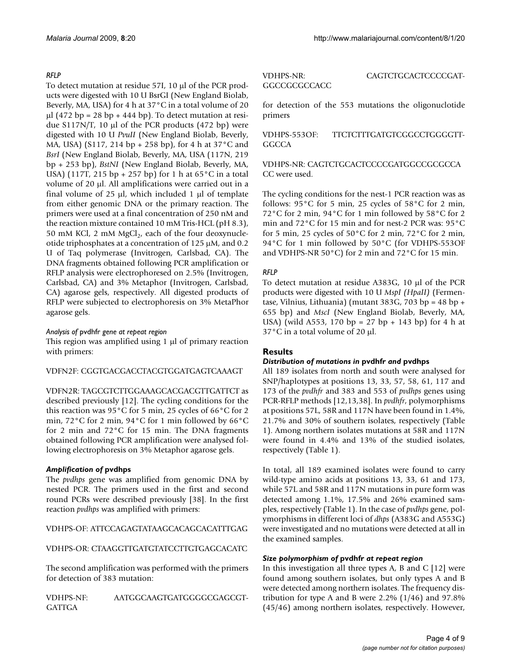#### *RFLP*

To detect mutation at residue 57I, 10 μl of the PCR products were digested with 10 U BsrGI (New England Biolab, Beverly, MA, USA) for 4 h at 37°C in a total volume of 20 μl (472 bp = 28 bp + 444 bp). To detect mutation at residue S117N/T, 10 μl of the PCR products (472 bp) were digested with 10 U *PvuII* (New England Biolab, Beverly, MA, USA) (S117, 214 bp + 258 bp), for 4 h at 37°C and *BsrI* (New England Biolab, Beverly, MA, USA (117N, 219 bp + 253 bp), *BstNI* (New England Biolab, Beverly, MA, USA) (117T, 215 bp + 257 bp) for 1 h at 65°C in a total volume of 20 μl. All amplifications were carried out in a final volume of 25 μl, which included 1 μl of template from either genomic DNA or the primary reaction. The primers were used at a final concentration of 250 nM and the reaction mixture contained 10 mM Tris-HCL (pH 8.3), 50 mM KCl, 2 mM MgCl $_2$ , each of the four deoxynucleotide triphosphates at a concentration of 125 μM, and 0.2 U of Taq polymerase (Invitrogen, Carlsbad, CA). The DNA fragments obtained following PCR amplification or RFLP analysis were electrophoresed on 2.5% (Invitrogen, Carlsbad, CA) and 3% Metaphor (Invitrogen, Carlsbad, CA) agarose gels, respectively. All digested products of RFLP were subjected to electrophoresis on 3% MetaPhor agarose gels.

#### *Analysis of* pvdhfr *gene at repeat region*

This region was amplified using 1 μl of primary reaction with primers:

#### VDFN2F: CGGTGACGACCTACGTGGATGAGTCAAAGT

VDFN2R: TAGCGTCTTGGAAAGCACGACGTTGATTCT as described previously [12]. The cycling conditions for the this reaction was 95°C for 5 min, 25 cycles of 66°C for 2 min, 72°C for 2 min, 94°C for 1 min followed by 66°C for 2 min and 72°C for 15 min. The DNA fragments obtained following PCR amplification were analysed following electrophoresis on 3% Metaphor agarose gels.

#### *Amplification of* **pvdhps**

The *pvdhps* gene was amplified from genomic DNA by nested PCR. The primers used in the first and second round PCRs were described previously [38]. In the first reaction *pvdhps* was amplified with primers:

VDHPS-OF: ATTCCAGAGTATAAGCACAGCACATTTGAG

VDHPS-OR: CTAAGGTTGATGTATCCTTGTGAGCACATC

The second amplification was performed with the primers for detection of 383 mutation:

VDHPS-NF: AATGGCAAGTGATGGGGCGAGCGT-GATTGA

GGCCGCGCCACC

VDHPS-NR: CAGTCTGCACTCCCCGAT-

for detection of the 553 mutations the oligonuclotide primers

VDHPS-553OF: TTCTCTTTGATGTCGGCCTGGGGTT-**GGCCA** 

VDHPS-NR: CAGTCTGCACTCCCCGATGGCCGCGCCA CC were used.

The cycling conditions for the nest-1 PCR reaction was as follows: 95°C for 5 min, 25 cycles of 58°C for 2 min, 72°C for 2 min, 94°C for 1 min followed by 58°C for 2 min and 72°C for 15 min and for nest-2 PCR was: 95°C for 5 min, 25 cycles of 50°C for 2 min, 72°C for 2 min, 94°C for 1 min followed by 50°C (for VDHPS-553OF and VDHPS-NR 50°C) for 2 min and 72°C for 15 min.

#### *RFLP*

To detect mutation at residue A383G, 10 μl of the PCR products were digested with 10 U *MspI (HpaII)* (Fermentase, Vilnius, Lithuania) (mutant 383G, 703 bp = 48 bp + 655 bp) and *MscI* (New England Biolab, Beverly, MA, USA) (wild A553, 170 bp = 27 bp + 143 bp) for 4 h at 37°C in a total volume of 20 μl.

#### **Results**

#### *Distribution of mutations in* **pvdhfr** *and* **pvdhps**

All 189 isolates from north and south were analysed for SNP/haplotypes at positions 13, 33, 57, 58, 61, 117 and 173 of the *pvdhfr* and 383 and 553 of *pvdhps* genes using PCR-RFLP methods [12,13,38]. In *pvdhfr*, polymorphisms at positions 57L, 58R and 117N have been found in 1.4%, 21.7% and 30% of southern isolates, respectively (Table 1). Among northern isolates mutations at 58R and 117N were found in 4.4% and 13% of the studied isolates, respectively (Table 1).

In total, all 189 examined isolates were found to carry wild-type amino acids at positions 13, 33, 61 and 173, while 57L and 58R and 117N mutations in pure form was detected among 1.1%, 17.5% and 26% examined samples, respectively (Table 1). In the case of *pvdhps* gene, polymorphisms in different loci of *dhps* (A383G and A553G) were investigated and no mutations were detected at all in the examined samples.

#### *Size polymorphism of* **pvdhfr** *at repeat region*

In this investigation all three types A, B and C  $[12]$  were found among southern isolates, but only types A and B were detected among northern isolates. The frequency distribution for type A and B were  $2.2\%$  (1/46) and  $97.8\%$ (45/46) among northern isolates, respectively. However,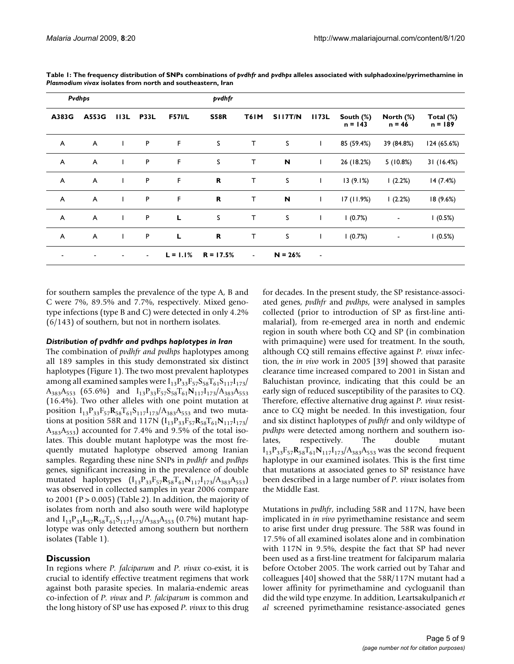| Pvdhps                   |                         | pvdhfr         |             |               |             |                |                |                |                           |                          |                           |
|--------------------------|-------------------------|----------------|-------------|---------------|-------------|----------------|----------------|----------------|---------------------------|--------------------------|---------------------------|
| A383G                    | A553G                   | 113L           | <b>P33L</b> | <b>F571/L</b> | <b>S58R</b> | T61M           | <b>SI17T/N</b> | 1173L          | South $(\%)$<br>$n = 143$ | North $(\%)$<br>$n = 46$ | Total $(\%)$<br>$n = 189$ |
| A                        | $\overline{\mathsf{A}}$ | $\mathbf{I}$   | P           | F.            | S           | T.             | S              | Ι.             | 85 (59.4%)                | 39 (84.8%)               | 124(65.6%)                |
| A                        | A                       | $\mathbf{I}$   | P           | F.            | S           | T.             | N              | $\mathbf{L}$   | 26 (18.2%)                | 5(10.8%)                 | 31(16.4%)                 |
| A                        | A                       | $\mathbf{I}$   | P           | - F           | R           | T              | S              | J.             | 13(9.1%)                  | 1(2.2%)                  | 14(7.4%)                  |
| A                        | A                       | $\mathbf{I}$   | P           | F.            | $\mathbf R$ | T.             | N              | $\perp$        | 17(11.9%)                 | 1(2.2%)                  | 18(9.6%)                  |
| A                        | A                       | $\mathbf{I}$   | P           | $\mathbf{L}$  | S           | T.             | S              | Ι.             | (0.7%)                    | $\overline{\phantom{a}}$ | (0.5%)                    |
| A                        | $\mathsf{A}$            | $\mathbf{I}$   | P           | $\mathbf{L}$  | R           | T.             | s              | Ι.             | (0.7%)                    | $\blacksquare$           | (0.5%)                    |
| $\overline{\phantom{a}}$ | $\blacksquare$          | $\blacksquare$ | $\sim$      | $L = 1.1%$    | $R = 17.5%$ | $\blacksquare$ | $N = 26%$      | $\blacksquare$ |                           |                          |                           |

Table 1: The frequency distribution of SNPs combinations of *pvdhfr* and *pvdhps* alleles associated with sulphadoxine/pyrimethamine in *Plasmodium vivax* **isolates from north and southeastern, Iran**

for southern samples the prevalence of the type A, B and C were 7%, 89.5% and 7.7%, respectively. Mixed genotype infections (type B and C) were detected in only 4.2% (6/143) of southern, but not in northern isolates.

#### *Distribution of* **pvdhfr** *and* **pvdhps** *haplotypes in Iran*

The combination of *pvdhfr and pvdhps* haplotypes among all 189 samples in this study demonstrated six distinct haplotypes (Figure 1). The two most prevalent haplotypes among all examined samples were  $I_{13}P_{33}F_{57}S_{58}T_{61}S_{117}I_{173}$ A<sub>383</sub>A<sub>553</sub> (65.6%) and I<sub>13</sub>P<sub>33</sub>F<sub>57</sub>S<sub>58</sub>T<sub>61</sub>N<sub>117</sub>I<sub>173</sub>/A<sub>383</sub>A<sub>553</sub> (16.4%). Two other alleles with one point mutation at position  $I_{13}P_{33}F_{57}R_{58}T_{61}S_{117}I_{173}/A_{383}A_{553}$  and two mutations at position 58R and 117N  $(I_{13}P_{33}F_{57}R_{58}T_{61}N_{117}I_{173}$  $A_{383}A_{553}$ ) accounted for 7.4% and 9.5% of the total isolates. This double mutant haplotype was the most frequently mutated haplotype observed among Iranian samples. Regarding these nine SNPs in *pvdhfr* and *pvdhps* genes, significant increasing in the prevalence of double mutated haplotypes  $(I_{13}P_{33}F_{57}R_{58}T_{61}N_{117}I_{173}/A_{383}A_{553})$ was observed in collected samples in year 2006 compare to 2001 ( $P > 0.005$ ) (Table 2). In addition, the majority of isolates from north and also south were wild haplotype and I<sub>13</sub>P<sub>33</sub>L<sub>57</sub>R<sub>58</sub>T<sub>61</sub>S<sub>117</sub>I<sub>173</sub>/A<sub>383</sub>A<sub>553</sub> (0.7%) mutant haplotype was only detected among southern but northern isolates (Table 1).

#### **Discussion**

In regions where *P. falciparum* and *P. vivax* co-exist, it is crucial to identify effective treatment regimens that work against both parasite species. In malaria-endemic areas co-infection of *P. vivax* and *P. falciparum* is common and the long history of SP use has exposed *P. vivax* to this drug for decades. In the present study, the SP resistance-associated genes, *pvdhfr* and *pvdhps*, were analysed in samples collected (prior to introduction of SP as first-line antimalarial), from re-emerged area in north and endemic region in south where both CQ and SP (in combination with primaquine) were used for treatment. In the south, although CQ still remains effective against *P. vivax* infection, the *in vivo* work in 2005 [39] showed that parasite clearance time increased compared to 2001 in Sistan and Baluchistan province, indicating that this could be an early sign of reduced susceptibility of the parasites to CQ. Therefore, effective alternative drug against *P. vivax* resistance to CQ might be needed. In this investigation, four and six distinct haplotypes of *pvdhfr* and only wildtype of *pvdhps* were detected among northern and southern isolates, respectively. The double mutant  $I_{13}P_{33}F_{57}R_{58}T_{61}N_{117}I_{173}/A_{383}A_{553}$  was the second frequent haplotype in our examined isolates. This is the first time that mutations at associated genes to SP resistance have been described in a large number of *P. vivax* isolates from the Middle East.

Mutations in *pvdhfr*, including 58R and 117N, have been implicated in *in vivo* pyrimethamine resistance and seem to arise first under drug pressure. The 58R was found in 17.5% of all examined isolates alone and in combination with 117N in 9.5%, despite the fact that SP had never been used as a first-line treatment for falciparum malaria before October 2005. The work carried out by Tahar and colleagues [40] showed that the 58R/117N mutant had a lower affinity for pyrimethamine and cycloguanil than did the wild type enzyme. In addition, Leartsakulpanich *et al* screened pyrimethamine resistance-associated genes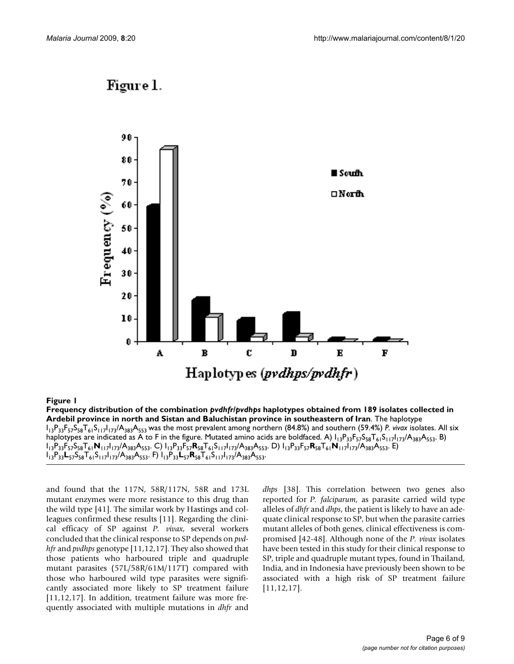# Figure 1.



**Ardebil province in north and Sistan and Baluchistan province in southeastern of Iran**. The haplotype I 13P33F57S58T61S117I 173/A383A553 was the most prevalent among northern (84.8%) and southern (59.4%) *P. vivax* isolates. All six haplotypes are indicated as A to F in the figure. Mutated amino acids are boldfaced. A)  $I_{13}P_{33}F_{57}S_{58}T_{61}S_{117}I_{173}/A_{383}A_{553}$ . B) I 13P33F57S58T61**N**117I173/A383A553. C) I13P33F57**R**58T61S117I173/A383A553. D) I13P33F57**R**58T61**N**117I173/A383A553. E) I 13P33**L**57S58T61S117I 173/A383A553. F) I13P33**L**57**R**58T61S117I 173/A383A553.

and found that the 117N, 58R/117N, 58R and 173L mutant enzymes were more resistance to this drug than the wild type [41]. The similar work by Hastings and colleagues confirmed these results [11]. Regarding the clinical efficacy of SP against *P. vivax*, several workers concluded that the clinical response to SP depends on *pvdhfr* and *pvdhps* genotype [11,12,17]. They also showed that those patients who harboured triple and quadruple mutant parasites (57L/58R/61M/117T) compared with those who harboured wild type parasites were significantly associated more likely to SP treatment failure [11,12,17]. In addition, treatment failure was more frequently associated with multiple mutations in *dhfr* and

*dhps* [38]. This correlation between two genes also reported for *P. falciparum*, as parasite carried wild type alleles of *dhfr* and *dhps*, the patient is likely to have an adequate clinical response to SP, but when the parasite carries mutant alleles of both genes, clinical effectiveness is compromised [[42](#page-8-0)-48]. Although none of the *P. vivax* isolates have been tested in this study for their clinical response to SP, triple and quadruple mutant types, found in Thailand, India, and in Indonesia have previously been shown to be associated with a high risk of SP treatment failure [11,12,17].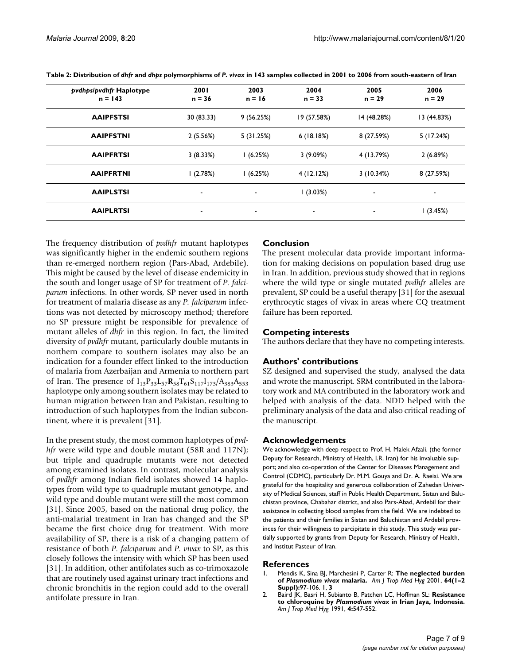| pvdhps/pvdhfr Haplotype<br>$n = 143$ | 2001<br>$n = 36$         | 2003<br>$n = 16$         | 2004<br>$n = 33$         | 2005<br>$n = 29$         | 2006<br>$n = 29$         |
|--------------------------------------|--------------------------|--------------------------|--------------------------|--------------------------|--------------------------|
| <b>AAIPFSTSI</b>                     | 30 (83.33)               | 9(56.25%)                | 19 (57.58%)              | 14 (48.28%)              | 13 (44.83%)              |
| <b>AAIPFSTNI</b>                     | 2(5.56%)                 | 5(31.25%)                | 6(18.18%)                | 8 (27.59%)               | 5(17.24%)                |
| <b>AAIPFRTSI</b>                     | 3(8.33%)                 | 1(6.25%)                 | 3(9.09%)                 | 4 (13.79%)               | 2(6.89%)                 |
| <b>AAIPFRTNI</b>                     | (2.78%)                  | 1(6.25%)                 | 4(12.12%)                | 3(10.34%)                | 8 (27.59%)               |
| <b>AAIPLSTSI</b>                     | ٠                        | $\overline{\phantom{a}}$ | (3.03%)                  | $\blacksquare$           | $\overline{\phantom{a}}$ |
| <b>AAIPLRTSI</b>                     | $\overline{\phantom{a}}$ | $\overline{\phantom{a}}$ | $\overline{\phantom{a}}$ | $\overline{\phantom{a}}$ | (3.45%)                  |

**Table 2: Distribution of** *dhfr* **and** *dhps* **polymorphisms of** *P. vivax* **in 143 samples collected in 2001 to 2006 from south-eastern of Iran**

The frequency distribution of *pvdhfr* mutant haplotypes was significantly higher in the endemic southern regions than re-emerged northern region (Pars-Abad, Ardebile). This might be caused by the level of disease endemicity in the south and longer usage of SP for treatment of *P. falciparum* infections. In other words, SP never used in north for treatment of malaria disease as any *P. falciparum* infections was not detected by microscopy method; therefore no SP pressure might be responsible for prevalence of mutant alleles of *dhfr* in this region. In fact, the limited diversity of *pvdhfr* mutant, particularly double mutants in northern compare to southern isolates may also be an indication for a founder effect linked to the introduction of malaria from Azerbaijan and Armenia to northern part of Iran. The presence of  $I_{13}P_{33}L_{57}R_{58}T_{61}S_{117}I_{173}/A_{383}A_{553}$ haplotype only among southern isolates may be related to human migration between Iran and Pakistan, resulting to introduction of such haplotypes from the Indian subcontinent, where it is prevalent [31].

In the present study, the most common haplotypes of *pvdhfr* were wild type and double mutant (58R and 117N); but triple and quadruple mutants were not detected among examined isolates. In contrast, molecular analysis of *pvdhfr* among Indian field isolates showed 14 haplotypes from wild type to quadruple mutant genotype, and wild type and double mutant were still the most common [31]. Since 2005, based on the national drug policy, the anti-malarial treatment in Iran has changed and the SP became the first choice drug for treatment. With more availability of SP, there is a risk of a changing pattern of resistance of both *P. falciparum* and *P. vivax* to SP, as this closely follows the intensity with which SP has been used [31]. In addition, other antifolates such as co-trimoxazole that are routinely used against urinary tract infections and chronic bronchitis in the region could add to the overall antifolate pressure in Iran.

#### **Conclusion**

The present molecular data provide important information for making decisions on population based drug use in Iran. In addition, previous study showed that in regions where the wild type or single mutated *pvdhfr* alleles are prevalent, SP could be a useful therapy [31] for the asexual erythrocytic stages of vivax in areas where CQ treatment failure has been reported.

#### **Competing interests**

The authors declare that they have no competing interests.

#### **Authors' contributions**

SZ designed and supervised the study, analysed the data and wrote the manuscript. SRM contributed in the laboratory work and MA contributed in the laboratory work and helped with analysis of the data. NDD helped with the preliminary analysis of the data and also critical reading of the manuscript.

#### **Acknowledgements**

We acknowledge with deep respect to Prof. H. Malek Afzali. (the former Deputy for Research, Ministry of Health, I.R. Iran) for his invaluable support; and also co-operation of the Center for Diseases Management and Control (CDMC), particularly Dr. M.M. Gouya and Dr. A. Raeisi. We are grateful for the hospitality and generous collaboration of Zahedan University of Medical Sciences, staff in Public Health Department, Sistan and Baluchistan province, Chabahar district, and also Pars-Abad, Ardebil for their assistance in collecting blood samples from the field. We are indebted to the patients and their families in Sistan and Baluchistan and Ardebil provinces for their willingness to parcipitate in this study. This study was partially supported by grants from Deputy for Research, Ministry of Health, and Institut Pasteur of Iran.

#### **References**

- <span id="page-6-0"></span>1. Mendis K, Sina BJ, Marchesini P, Carter R: **The neglected burden of** *Plasmodium vivax* **[malaria.](http://www.ncbi.nlm.nih.gov/entrez/query.fcgi?cmd=Retrieve&db=PubMed&dopt=Abstract&list_uids=11425182)** *Am J Trop Med Hyg* 2001, **64(1–2 Suppl):**97-106. 1, **3**
- 2. Baird JK, Basri H, Subianto B, Patchen LC, Hoffman SL: **Resistance to chloroquine by** *Plasmodium vivax* **in Irian Jaya, Indonesia.** *Am J Trop Med Hyg* 1991, **4:**547-552.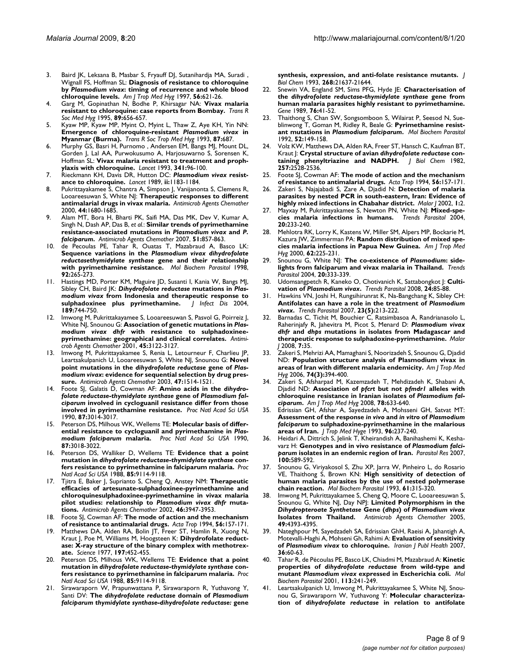- 3. Baird JK, Leksana B, Masbar S, Fryauff DJ, Sutanihardja MA, Suradi , Wignall FS, Hoffman SL: **Diagnosis of resistance to chloroquine by** *Plasmodium vivax***[: timing of recurrence and whole blood](http://www.ncbi.nlm.nih.gov/entrez/query.fcgi?cmd=Retrieve&db=PubMed&dopt=Abstract&list_uids=9230792) [chloroquine levels.](http://www.ncbi.nlm.nih.gov/entrez/query.fcgi?cmd=Retrieve&db=PubMed&dopt=Abstract&list_uids=9230792)** *Am J Trop Med Hyg* 1997, **56:**621-26.
- 4. Garg M, Gopinathan N, Bodhe P, Khirsagar NA: **Vivax malaria resistant to chloroquine: case reports from Bombay.** *Trans R Soc Med Hyg* 1995, **89:**656-657.
- 5. Kyaw MP, Kyaw MP, Myint O, Myint L, Thaw Z, Aye KH, Yin NN: **Emergence of chloroquine-resistant** *Plasmodium vivax* **[in](http://www.ncbi.nlm.nih.gov/entrez/query.fcgi?cmd=Retrieve&db=PubMed&dopt=Abstract&list_uids=8296378) [Myanmar \(Burma\).](http://www.ncbi.nlm.nih.gov/entrez/query.fcgi?cmd=Retrieve&db=PubMed&dopt=Abstract&list_uids=8296378)** *Trans R Soc Trop Med Hyg* 1993, **87:**687.
- 6. Murphy GS, Basri H, Purnomo , Andersen EM, Bangs MJ, Mount DL, Gorden J, Lal AA, Purwokusumo A, Harjosuwarno S, Sorensen K, Hoffman SL: **[Vivax malaria resistant to treatment and proph](http://www.ncbi.nlm.nih.gov/entrez/query.fcgi?cmd=Retrieve&db=PubMed&dopt=Abstract&list_uids=8093414)[ylaxis with chloroquine.](http://www.ncbi.nlm.nih.gov/entrez/query.fcgi?cmd=Retrieve&db=PubMed&dopt=Abstract&list_uids=8093414)** *Lancet* 1993, **341:**96-100.
- 7. Rieckmann KH, Davis DR, Hutton DC: *Plasmodium vivax* **resistance to chloroquine.** *Lancet* 1989, **ii:**1183-1184.
- 8. Pukrittayakamee S, Chantra A, Simpson J, Vanijanonta S, Clemens R, Looareesuwan S, White NJ: **[Therapeutic responses to different](http://www.ncbi.nlm.nih.gov/entrez/query.fcgi?cmd=Retrieve&db=PubMed&dopt=Abstract&list_uids=10817728) [antimalarial drugs in vivax malaria.](http://www.ncbi.nlm.nih.gov/entrez/query.fcgi?cmd=Retrieve&db=PubMed&dopt=Abstract&list_uids=10817728)** *Antimicrob Agents Chemother* 2000, **44:**1680-1685.
- 9. Alam MT, Bora H, Bharti PK, Saifi MA, Das MK, Dev V, Kumar A, Singh N, Dash AP, Das B, *et al.*: **Similar trends of pyrimethamine resistance-associated mutations in** *Plasmodium vivax* **and** *P. falciparum***[.](http://www.ncbi.nlm.nih.gov/entrez/query.fcgi?cmd=Retrieve&db=PubMed&dopt=Abstract&list_uids=17194833)** *Antimicrob Agents Chemother* 2007, **51:**857-863.
- 10. de Pecoulas PE, Tahar R, Ouatas T, Mazabraud A, Basco LK: **Sequence variations in the** *Plasmodium vivax dihydrofolate reductasethymidylate synthase* **[gene and their relationship](http://www.ncbi.nlm.nih.gov/entrez/query.fcgi?cmd=Retrieve&db=PubMed&dopt=Abstract&list_uids=9657331) [with pyrimethamine resistance.](http://www.ncbi.nlm.nih.gov/entrez/query.fcgi?cmd=Retrieve&db=PubMed&dopt=Abstract&list_uids=9657331)** *Mol Biochem Parasitol* 1998, **92:**265-273.
- 11. Hastings MD, Porter KM, Maguire JD, Susanti I, Kania W, Bangs MJ, Sibley CH, Baird JK: *Dihydrofolate reductase* **mutations in** *Plasmodium vivax* **[from Indonesia and therapeutic response to](http://www.ncbi.nlm.nih.gov/entrez/query.fcgi?cmd=Retrieve&db=PubMed&dopt=Abstract&list_uids=14767830)** [sulphadoxinee plus pyrimethamine.](http://www.ncbi.nlm.nih.gov/entrez/query.fcgi?cmd=Retrieve&db=PubMed&dopt=Abstract&list_uids=14767830) **189:**744-750.
- 12. Imwong M, Pukrittakayamee S, Looareesuwan S, Pasvol G, Poirreiz J, White NJ, Snounou G: **Association of genetic mutations in** *Plasmodium vivax dhfr* **[with resistance to sulphadoxinee](http://www.ncbi.nlm.nih.gov/entrez/query.fcgi?cmd=Retrieve&db=PubMed&dopt=Abstract&list_uids=11600366)[pyrimethamine: geographical and clinical correlates.](http://www.ncbi.nlm.nih.gov/entrez/query.fcgi?cmd=Retrieve&db=PubMed&dopt=Abstract&list_uids=11600366)** *Antimicrob Agents Chemother* 2001, **45:**3122-3127.
- 13. Imwong M, Pukrittayakamee S, Renia L, Letourneur F, Charlieu JP, Leartsakulpanich U, Looareesuwan S, White NJ, Snounou G: **Novel point mutations in the** *dihydrofolate reductase* **gene of** *Plasmodium vivax***[: evidence for sequential selection by drug pres](http://www.ncbi.nlm.nih.gov/entrez/query.fcgi?cmd=Retrieve&db=PubMed&dopt=Abstract&list_uids=12709316)[sure.](http://www.ncbi.nlm.nih.gov/entrez/query.fcgi?cmd=Retrieve&db=PubMed&dopt=Abstract&list_uids=12709316)** *Antimicrob Agents Chemother* 2003, **47:**1514-1521.
- 14. Foote SJ, Galatis D, Cowman AF: **Amino acids in the** *dihydrofolate reductase-thymidylate synthase* **gene of** *Plasmodium falciparum* **[involved in cycloguanil resistance differ from those](http://www.ncbi.nlm.nih.gov/entrez/query.fcgi?cmd=Retrieve&db=PubMed&dopt=Abstract&list_uids=2183221) [involved in pyrimethamine resistance.](http://www.ncbi.nlm.nih.gov/entrez/query.fcgi?cmd=Retrieve&db=PubMed&dopt=Abstract&list_uids=2183221)** *Proc Natl Acad Sci USA* 1990, **87:**3014-3017.
- 15. Peterson DS, Milhous WK, Wellems TE: **Molecular basis of differential resistance to cycloguanil and pyrimethamine in** *Plasmodium falciparum* **[malaria.](http://www.ncbi.nlm.nih.gov/entrez/query.fcgi?cmd=Retrieve&db=PubMed&dopt=Abstract&list_uids=2183222)** *Proc Natl Acad Sci USA* 1990, **87:**3018-3022.
- 16. Peterson DS, Walliker D, Wellems TE: **Evidence that a point mutation in** *dihydrofolate reductase-thymidylate synthase* **[con](http://www.ncbi.nlm.nih.gov/entrez/query.fcgi?cmd=Retrieve&db=PubMed&dopt=Abstract&list_uids=2904149)[fers resistance to pyrimethamine in falciparum malaria.](http://www.ncbi.nlm.nih.gov/entrez/query.fcgi?cmd=Retrieve&db=PubMed&dopt=Abstract&list_uids=2904149)** *Proc Natl Acad Sci USA* 1988, **85:**9114-9118.
- 17. Tjitra E, Baker J, Suprianto S, Cheng Q, Anstey NM: **Therapeutic efficacies of artesunate-sulphadoxinee-pyrimethamine and chloroquinesulphadoxinee-pyrimethamine in vivax malaria pilot studies: relationship to** *Plasmodium vivax dhfr* **[muta](http://www.ncbi.nlm.nih.gov/entrez/query.fcgi?cmd=Retrieve&db=PubMed&dopt=Abstract&list_uids=12435700)[tions.](http://www.ncbi.nlm.nih.gov/entrez/query.fcgi?cmd=Retrieve&db=PubMed&dopt=Abstract&list_uids=12435700)** *Antimicrob Agents Chemother* 2002, **46:**3947-3953.
- 18. Foote SJ, Cowman AF: **[The mode of action and the mechanism](http://www.ncbi.nlm.nih.gov/entrez/query.fcgi?cmd=Retrieve&db=PubMed&dopt=Abstract&list_uids=8203302) [of resistance to antimalarial drugs.](http://www.ncbi.nlm.nih.gov/entrez/query.fcgi?cmd=Retrieve&db=PubMed&dopt=Abstract&list_uids=8203302)** *Acta Trop* 1994, **56:**157-171.
- 19. Matthews DA, Alden RA, Bolin JT, Freer ST, Hamlin R, Xuong N, Kraut J, Poe M, Williams M, Hoogsteen K: **[Dihydrofolate reduct](http://www.ncbi.nlm.nih.gov/entrez/query.fcgi?cmd=Retrieve&db=PubMed&dopt=Abstract&list_uids=17920)[ase: X-ray structure of the binary complex with methotrex](http://www.ncbi.nlm.nih.gov/entrez/query.fcgi?cmd=Retrieve&db=PubMed&dopt=Abstract&list_uids=17920)[ate.](http://www.ncbi.nlm.nih.gov/entrez/query.fcgi?cmd=Retrieve&db=PubMed&dopt=Abstract&list_uids=17920)** *Science* 1977, **197:**452-455.
- 20. Peterson DS, Milhous WK, Wellems TE: **Evidence that a point mutation in** *dihydrofolate reductase-thymidylate synthase* **[con](http://www.ncbi.nlm.nih.gov/entrez/query.fcgi?cmd=Retrieve&db=PubMed&dopt=Abstract&list_uids=2904149)[fers resistance to pyrimethamine in falciparum malaria.](http://www.ncbi.nlm.nih.gov/entrez/query.fcgi?cmd=Retrieve&db=PubMed&dopt=Abstract&list_uids=2904149)** *Proc Natl Acad Sci USA* 1988, **85:**9114-9118.
- Sirawaraporn W, Prapunwattana P, Sirawaraporn R, Yuthavong Y, Santi DV: **The** *dihydrofolate reductase* **domain of** *Plasmodium falciparum thymidylate synthase-dihydrofolate reductase:* **[gene](http://www.ncbi.nlm.nih.gov/entrez/query.fcgi?cmd=Retrieve&db=PubMed&dopt=Abstract&list_uids=8408015)**

**[synthesis, expression, and anti-folate resistance mutants.](http://www.ncbi.nlm.nih.gov/entrez/query.fcgi?cmd=Retrieve&db=PubMed&dopt=Abstract&list_uids=8408015)** *J Biol Chem* 1993, **268:**21637-21644.

- 22. Snewin VA, England SM, Sims PFG, Hyde JE: **Characterisation of the** *dihydrofolate reductase-thymidylate synthase* **[gene from](http://www.ncbi.nlm.nih.gov/entrez/query.fcgi?cmd=Retrieve&db=PubMed&dopt=Abstract&list_uids=2663650) [human malaria parasites highly resistant to pyrimethamine.](http://www.ncbi.nlm.nih.gov/entrez/query.fcgi?cmd=Retrieve&db=PubMed&dopt=Abstract&list_uids=2663650)** *Gene* 1989, **76:**41-52.
- Thaithong S, Chan SW, Songsomboon S, Wilairat P, Seesod N, Sueblinwong T, Goman M, Ridley R, Beale G: **Pyrimethamine resistant mutations in** *Plasmodium falciparum***[.](http://www.ncbi.nlm.nih.gov/entrez/query.fcgi?cmd=Retrieve&db=PubMed&dopt=Abstract&list_uids=1620155)** *Mol Biochem Parasitol* 1992, **52:**149-158.
- 24. Volz KW, Matthews DA, Alden RA, Freer ST, Hansch C, Kaufman BT, Kraut J: **Crystal structure of avian** *dihydrofolate reductase* **[con](http://www.ncbi.nlm.nih.gov/entrez/query.fcgi?cmd=Retrieve&db=PubMed&dopt=Abstract&list_uids=7061437)[taining phenyltriazine and NADPH.](http://www.ncbi.nlm.nih.gov/entrez/query.fcgi?cmd=Retrieve&db=PubMed&dopt=Abstract&list_uids=7061437)** *J Biol Chem* 1982, **257:**2528-2536.
- 25. Foote SJ, Cowman AF: **[The mode of action and the mechanism](http://www.ncbi.nlm.nih.gov/entrez/query.fcgi?cmd=Retrieve&db=PubMed&dopt=Abstract&list_uids=8203302) [of resistance to antimalarial drugs.](http://www.ncbi.nlm.nih.gov/entrez/query.fcgi?cmd=Retrieve&db=PubMed&dopt=Abstract&list_uids=8203302)** *Acta Trop* 1994, **56:**157-171.
- 26. Zakeri S, Najajabadi S, Zare A, Djadid N: **[Detection of malaria](http://www.ncbi.nlm.nih.gov/entrez/query.fcgi?cmd=Retrieve&db=PubMed&dopt=Abstract&list_uids=12057020) [parasites by nested PCR in south-eastern, Iran: Evidence of](http://www.ncbi.nlm.nih.gov/entrez/query.fcgi?cmd=Retrieve&db=PubMed&dopt=Abstract&list_uids=12057020) [highly mixed infections in Chabahar district.](http://www.ncbi.nlm.nih.gov/entrez/query.fcgi?cmd=Retrieve&db=PubMed&dopt=Abstract&list_uids=12057020)** *Malar J* 2002, **1:**2.
- 27. Mayxay M, Pukrittayakamee S, Newton PN, White NJ: **[Mixed-spe](http://www.ncbi.nlm.nih.gov/entrez/query.fcgi?cmd=Retrieve&db=PubMed&dopt=Abstract&list_uids=15105024)[cies malaria infections in humans.](http://www.ncbi.nlm.nih.gov/entrez/query.fcgi?cmd=Retrieve&db=PubMed&dopt=Abstract&list_uids=15105024)** *Trends Parasitol* 2004, **20:**233-240.
- 28. Mehlotra RK, Lorry K, Kastens W, Miller SM, Alpers MP, Bockarie M, Kazura JW, Zimmerman PA: **[Random distribution of mixed spe](http://www.ncbi.nlm.nih.gov/entrez/query.fcgi?cmd=Retrieve&db=PubMed&dopt=Abstract&list_uids=10813477)[cies malaria infections in Papua New Guinea.](http://www.ncbi.nlm.nih.gov/entrez/query.fcgi?cmd=Retrieve&db=PubMed&dopt=Abstract&list_uids=10813477)** *Am J Trop Med Hyg* 2000, **62:**225-231.
- Snounou G, White NJ: The co-existence of *Plasmodium*[: side](http://www.ncbi.nlm.nih.gov/entrez/query.fcgi?cmd=Retrieve&db=PubMed&dopt=Abstract&list_uids=15193565)**[lights from falciparum and vivax malaria in Thailand.](http://www.ncbi.nlm.nih.gov/entrez/query.fcgi?cmd=Retrieve&db=PubMed&dopt=Abstract&list_uids=15193565)** *Trends Parasitol* 2004, **20:**333-339.
- 30. Udomsangpetch R, Kaneko O, Chotivanich K, Sattabongkot J: **Cultivation of** *Plasmodium vivax***[.](http://www.ncbi.nlm.nih.gov/entrez/query.fcgi?cmd=Retrieve&db=PubMed&dopt=Abstract&list_uids=18180202)** *Trends Parasitol* 2008, **24:**85-88.
- 31. Hawkins VN, Joshi H, Rungsihirunrat K, Na-Bangchang K, Sibley CH: **Antifolates can have a role in the treatment of** *Plasmodium vivax***[.](http://www.ncbi.nlm.nih.gov/entrez/query.fcgi?cmd=Retrieve&db=PubMed&dopt=Abstract&list_uids=17368986)** *Trends Parasitol* 2007, **23(5):**213-222.
- Barnadas C, Tichit M, Bouchier C, Ratsimbasoa A, Randrianasolo L, Raherinjafy R, Jahevitra M, Picot S, Menard D: *Plasmodium vivax dhfr* **and** *dhps* **[mutations in isolates from Madagascar and](http://www.ncbi.nlm.nih.gov/entrez/query.fcgi?cmd=Retrieve&db=PubMed&dopt=Abstract&list_uids=18302746) [therapeutic response to sulphadoxine-pyrimethamine.](http://www.ncbi.nlm.nih.gov/entrez/query.fcgi?cmd=Retrieve&db=PubMed&dopt=Abstract&list_uids=18302746)** *Malar J* 2008, **7:**35.
- 33. Zakeri S, Mehrizi AA, Mamaghani S, Noorizadeh S, Snounou G, Djadid ND: **[Population structure analysis of Plasmodium vivax in](http://www.ncbi.nlm.nih.gov/entrez/query.fcgi?cmd=Retrieve&db=PubMed&dopt=Abstract&list_uids=16525096) [areas of Iran with different malaria endemicity.](http://www.ncbi.nlm.nih.gov/entrez/query.fcgi?cmd=Retrieve&db=PubMed&dopt=Abstract&list_uids=16525096)** *Am J Trop Med Hyg* 2006, **74(3):**394-400.
- 34. Zakeri S, Afsharpad M, Kazemzadeh T, Mehdizadeh K, Shabani A, Djadid ND: **Association of** *pfcrt* **but not** *pfmdr1* **alleles with chloroquine resistance in Iranian isolates of** *Plasmodium falciparum***[.](http://www.ncbi.nlm.nih.gov/entrez/query.fcgi?cmd=Retrieve&db=PubMed&dopt=Abstract&list_uids=18385361)** *Am J Trop Med Hyg* 2008, **78:**633-640.
- 35. Edrissian GH, Afshar A, Sayedzadeh A, Mohsseni GH, Satvat MT: **Assessment of the response** *in vivo* **and** *in vitro* **of** *Plasmodium falciparum* **to sulphadoxine-pyrimethamine in the malarious areas of Iran.** *J Trop Med Hyge* 1993, **96:**237-240.
- 36. Heidari A, Dittrich S, Jelink T, Kheirandish A, Banihashemi K, Keshavarz H: **Genotypes and in vivo resistance of** *Plasmodium falciparum* **[isolates in an endemic region of Iran.](http://www.ncbi.nlm.nih.gov/entrez/query.fcgi?cmd=Retrieve&db=PubMed&dopt=Abstract&list_uids=17024359)** *Parasitol Res* 2007, **100:**589-592.
- 37. Snounou G, Viriyakosol S, Zhu XP, Jarra W, Pinheiro L, do Rosario VE, Thaithong S, Brown KN: **[High sensitivity of detection of](http://www.ncbi.nlm.nih.gov/entrez/query.fcgi?cmd=Retrieve&db=PubMed&dopt=Abstract&list_uids=8264734) [human malaria parasites by the use of nested polymerase](http://www.ncbi.nlm.nih.gov/entrez/query.fcgi?cmd=Retrieve&db=PubMed&dopt=Abstract&list_uids=8264734) [chain reaction.](http://www.ncbi.nlm.nih.gov/entrez/query.fcgi?cmd=Retrieve&db=PubMed&dopt=Abstract&list_uids=8264734)** *Mol Biochem Parasitol* 1993, **61:**315-320.
- 38. Imwong M, Pukrittayakamee S, Cheng Q, Moore C, Looareesuwan S, Snounou G, White NJ, Day NPJ: **Limited Polymorphism in the** *Dihydropteroate Synthetase* **Gene (***dhps***) of** *Plasmodium vivax* **[Isolates from Thailand.](http://www.ncbi.nlm.nih.gov/entrez/query.fcgi?cmd=Retrieve&db=PubMed&dopt=Abstract&list_uids=16189131)** *Antimicrob Agents Chemother* 2005, **49:**4393-4395.
- 39. Nateghpour M, Sayedzadeh SA, Edrissian GhH, Raeisi A, Jahantigh A, Motevalli-Haghi A, Mohseni Gh, Rahimi A: **Evaluation of sensitivity of** *Plasmodium vivax* **to chloroquine.** *Iranian J Publ Health* 2007, **36:**60-63.
- 40. Tahar R, de Pécoulas PE, Basco LK, Chiadmi M, Mazabraud A: **Kinetic properties of** *dihydrofolate reductase* **from wild-type and mutant** *Plasmodium vivax* **[expressed in Escherichia coli.](http://www.ncbi.nlm.nih.gov/entrez/query.fcgi?cmd=Retrieve&db=PubMed&dopt=Abstract&list_uids=11295178)** *Mol Biochem Parasitol* 2001, **113:**241-249.
- 41. Leartsakulpanich U, Imwong M, Pukrittayakamee S, White NJ, Snounou G, Sirawaraporn W, Yuthavong Y: **Molecular characterization of** *dihydrofolate reductase* **in relation to antifolate**